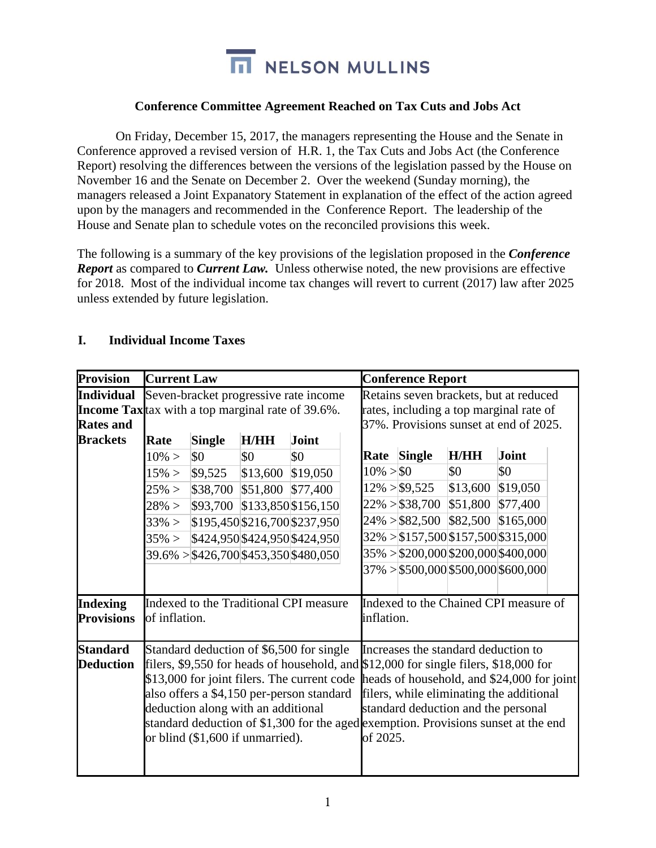

## **Conference Committee Agreement Reached on Tax Cuts and Jobs Act**

On Friday, December 15, 2017, the managers representing the House and the Senate in Conference approved a revised version of H.R. 1, the Tax Cuts and Jobs Act (the Conference Report) resolving the differences between the versions of the legislation passed by the House on November 16 and the Senate on December 2. Over the weekend (Sunday morning), the managers released a Joint Expanatory Statement in explanation of the effect of the action agreed upon by the managers and recommended in the Conference Report. The leadership of the House and Senate plan to schedule votes on the reconciled provisions this week.

The following is a summary of the key provisions of the legislation proposed in the *Conference Report* as compared to *Current Law.* Unless otherwise noted, the new provisions are effective for 2018. Most of the individual income tax changes will revert to current (2017) law after 2025 unless extended by future legislation.

| <b>Provision</b>                     | <b>Current Law</b>                                                                                                                                                                                                                                                                                |               |          |                                                                                                                                                                                         |                                         | <b>Conference Report</b>            |          |           |  |
|--------------------------------------|---------------------------------------------------------------------------------------------------------------------------------------------------------------------------------------------------------------------------------------------------------------------------------------------------|---------------|----------|-----------------------------------------------------------------------------------------------------------------------------------------------------------------------------------------|-----------------------------------------|-------------------------------------|----------|-----------|--|
| <b>Individual</b>                    | Seven-bracket progressive rate income                                                                                                                                                                                                                                                             |               |          | Retains seven brackets, but at reduced                                                                                                                                                  |                                         |                                     |          |           |  |
|                                      | <b>Income Tax</b> tax with a top marginal rate of 39.6%.                                                                                                                                                                                                                                          |               |          |                                                                                                                                                                                         | rates, including a top marginal rate of |                                     |          |           |  |
| <b>Rates and</b>                     |                                                                                                                                                                                                                                                                                                   |               |          | 37%. Provisions sunset at end of 2025.                                                                                                                                                  |                                         |                                     |          |           |  |
| <b>Brackets</b>                      | Rate                                                                                                                                                                                                                                                                                              | <b>Single</b> | H/HH     | Joint                                                                                                                                                                                   |                                         |                                     |          |           |  |
|                                      | $10\% >$                                                                                                                                                                                                                                                                                          | \$0           | \$0      | \$0                                                                                                                                                                                     | Rate                                    | <b>Single</b>                       | H/HH     | Joint     |  |
|                                      | $15\% >$                                                                                                                                                                                                                                                                                          | \$9,525       | \$13,600 | \$19,050                                                                                                                                                                                | $10\% > $0$                             |                                     | \$0      | \$0       |  |
|                                      | $25\% >$                                                                                                                                                                                                                                                                                          | \$38,700      | \$51,800 | \$77,400                                                                                                                                                                                |                                         | $12\% > $9,525$                     | \$13,600 | \$19,050  |  |
|                                      | $28\% >$                                                                                                                                                                                                                                                                                          |               |          | \$93,700 \$133,850 \$156,150                                                                                                                                                            |                                         | $22\% > $38,700$                    | \$51,800 | \$77,400  |  |
|                                      | $33\% >$                                                                                                                                                                                                                                                                                          |               |          | \$195,450 \$216,700 \$237,950                                                                                                                                                           |                                         | $24\% > $82,500$ \$82,500           |          | \$165,000 |  |
|                                      | $35\% >$                                                                                                                                                                                                                                                                                          |               |          | \$424,950 \$424,950 \$424,950                                                                                                                                                           |                                         | 32% > \$157,500 \$157,500 \$315,000 |          |           |  |
|                                      |                                                                                                                                                                                                                                                                                                   |               |          | $39.6\% > $426,700$453,350$480,050$                                                                                                                                                     |                                         | $35\% > $200,000$200,000$400,000$   |          |           |  |
|                                      |                                                                                                                                                                                                                                                                                                   |               |          |                                                                                                                                                                                         |                                         | $37\% > $500,000$500,000$600,000$   |          |           |  |
| <b>Indexing</b><br><b>Provisions</b> | Indexed to the Traditional CPI measure<br>of inflation.                                                                                                                                                                                                                                           |               |          | Indexed to the Chained CPI measure of<br>inflation.                                                                                                                                     |                                         |                                     |          |           |  |
| <b>Standard</b>                      | Standard deduction of \$6,500 for single                                                                                                                                                                                                                                                          |               |          | Increases the standard deduction to                                                                                                                                                     |                                         |                                     |          |           |  |
| <b>Deduction</b>                     | filers, \$9,550 for heads of household, and \$12,000 for single filers, \$18,000 for<br>also offers a \$4,150 per-person standard<br>deduction along with an additional<br>standard deduction of \$1,300 for the aged exemption. Provisions sunset at the end<br>or blind (\$1,600 if unmarried). |               |          | \$13,000 for joint filers. The current code   heads of household, and \$24,000 for joint<br>filers, while eliminating the additional<br>standard deduction and the personal<br>of 2025. |                                         |                                     |          |           |  |

## **I. Individual Income Taxes**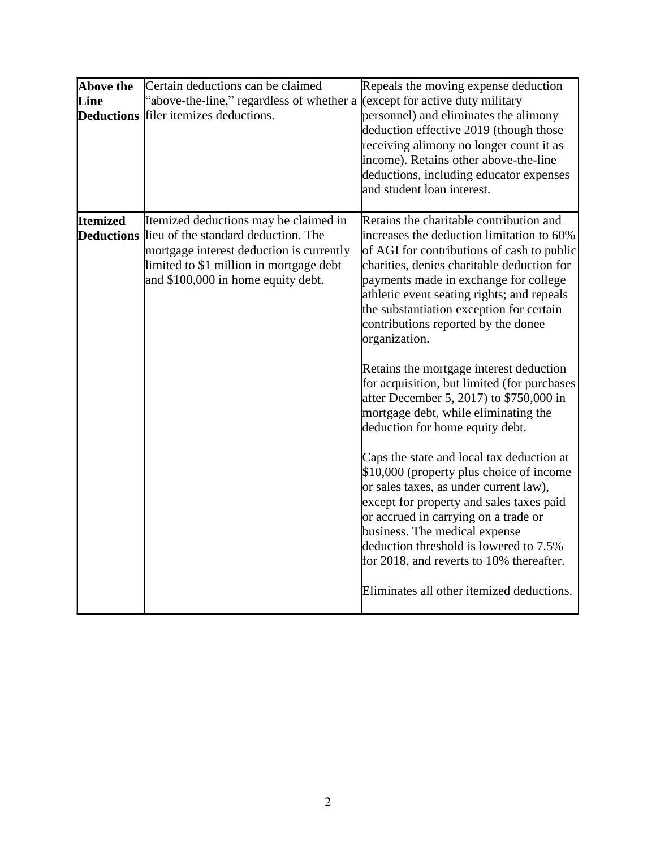| <b>Above the</b><br>Line | Certain deductions can be claimed<br>'above-the-line," regardless of whether a (except for active duty military<br><b>Deductions</b> filer itemizes deductions.                                                             | Repeals the moving expense deduction<br>personnel) and eliminates the alimony<br>deduction effective 2019 (though those<br>receiving alimony no longer count it as<br>income). Retains other above-the-line<br>deductions, including educator expenses<br>and student loan interest.                                                                                                                                                                                                                                                                                                                                                                                                                                                                                                                                                                                                                                                                                                   |
|--------------------------|-----------------------------------------------------------------------------------------------------------------------------------------------------------------------------------------------------------------------------|----------------------------------------------------------------------------------------------------------------------------------------------------------------------------------------------------------------------------------------------------------------------------------------------------------------------------------------------------------------------------------------------------------------------------------------------------------------------------------------------------------------------------------------------------------------------------------------------------------------------------------------------------------------------------------------------------------------------------------------------------------------------------------------------------------------------------------------------------------------------------------------------------------------------------------------------------------------------------------------|
| <b>Itemized</b>          | Itemized deductions may be claimed in<br><b>Deductions</b> lieu of the standard deduction. The<br>mortgage interest deduction is currently<br>limited to \$1 million in mortgage debt<br>and \$100,000 in home equity debt. | Retains the charitable contribution and<br>increases the deduction limitation to 60%<br>of AGI for contributions of cash to public<br>charities, denies charitable deduction for<br>payments made in exchange for college<br>athletic event seating rights; and repeals<br>the substantiation exception for certain<br>contributions reported by the donee<br>organization.<br>Retains the mortgage interest deduction<br>for acquisition, but limited (for purchases<br>after December 5, 2017) to \$750,000 in<br>mortgage debt, while eliminating the<br>deduction for home equity debt.<br>Caps the state and local tax deduction at<br>\$10,000 (property plus choice of income<br>or sales taxes, as under current law),<br>except for property and sales taxes paid<br>or accrued in carrying on a trade or<br>business. The medical expense<br>deduction threshold is lowered to 7.5%<br>for 2018, and reverts to 10% thereafter.<br>Eliminates all other itemized deductions. |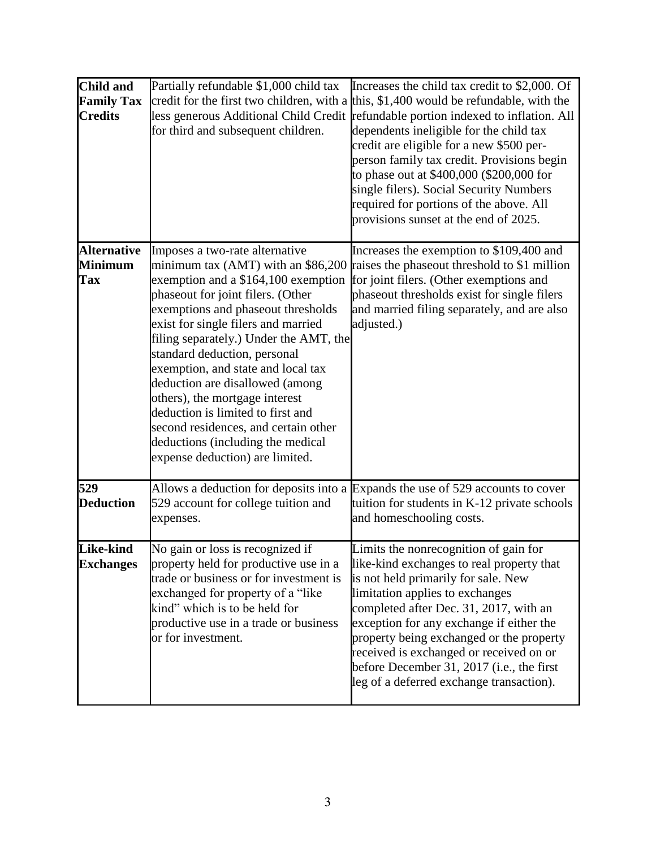| <b>Child and</b><br><b>Family Tax</b><br><b>Credits</b> | Partially refundable \$1,000 child tax<br>less generous Additional Child Credit<br>for third and subsequent children.                                                                                                                                                                                                                                                                                                                                                                                                                                                   | Increases the child tax credit to \$2,000. Of<br>credit for the first two children, with a this, \$1,400 would be refundable, with the<br>refundable portion indexed to inflation. All<br>dependents ineligible for the child tax<br>credit are eligible for a new \$500 per-<br>person family tax credit. Provisions begin<br>to phase out at \$400,000 (\$200,000 for<br>single filers). Social Security Numbers<br>required for portions of the above. All<br>provisions sunset at the end of 2025. |
|---------------------------------------------------------|-------------------------------------------------------------------------------------------------------------------------------------------------------------------------------------------------------------------------------------------------------------------------------------------------------------------------------------------------------------------------------------------------------------------------------------------------------------------------------------------------------------------------------------------------------------------------|--------------------------------------------------------------------------------------------------------------------------------------------------------------------------------------------------------------------------------------------------------------------------------------------------------------------------------------------------------------------------------------------------------------------------------------------------------------------------------------------------------|
| <b>Alternative</b><br><b>Minimum</b><br><b>Tax</b>      | Imposes a two-rate alternative<br>minimum tax (AMT) with an \$86,200<br>exemption and a \$164,100 exemption<br>phaseout for joint filers. (Other<br>exemptions and phaseout thresholds<br>exist for single filers and married<br>filing separately.) Under the AMT, the<br>standard deduction, personal<br>exemption, and state and local tax<br>deduction are disallowed (among<br>others), the mortgage interest<br>deduction is limited to first and<br>second residences, and certain other<br>deductions (including the medical<br>expense deduction) are limited. | Increases the exemption to \$109,400 and<br>raises the phaseout threshold to \$1 million<br>for joint filers. (Other exemptions and<br>phaseout thresholds exist for single filers<br>and married filing separately, and are also<br>adjusted.)                                                                                                                                                                                                                                                        |
| 529<br><b>Deduction</b>                                 | Allows a deduction for deposits into a<br>529 account for college tuition and<br>expenses.                                                                                                                                                                                                                                                                                                                                                                                                                                                                              | Expands the use of 529 accounts to cover<br>tuition for students in K-12 private schools<br>and homeschooling costs.                                                                                                                                                                                                                                                                                                                                                                                   |
| <b>Like-kind</b><br><b>Exchanges</b>                    | No gain or loss is recognized if<br>property held for productive use in a<br>trade or business or for investment is<br>exchanged for property of a "like"<br>kind" which is to be held for<br>productive use in a trade or business<br>or for investment.                                                                                                                                                                                                                                                                                                               | Limits the nonrecognition of gain for<br>like-kind exchanges to real property that<br>is not held primarily for sale. New<br>limitation applies to exchanges<br>completed after Dec. 31, 2017, with an<br>exception for any exchange if either the<br>property being exchanged or the property<br>received is exchanged or received on or<br>before December 31, 2017 (i.e., the first<br>leg of a deferred exchange transaction).                                                                     |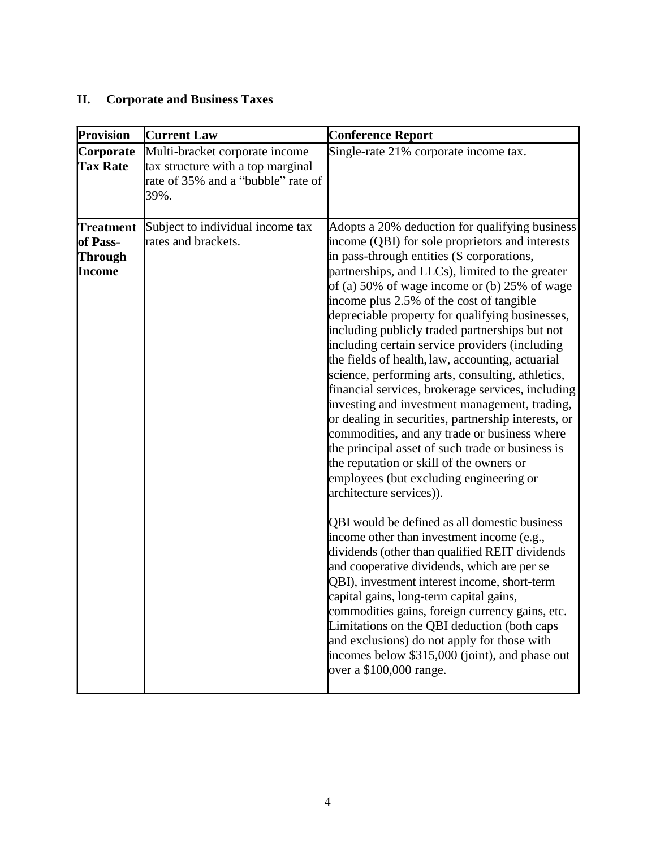## **II. Corporate and Business Taxes**

| <b>Provision</b>                                                | <b>Current Law</b>                                                                                                | <b>Conference Report</b>                                                                                                                                                                                                                                                                                                                                                                                                                                                                                                                                                                                                                                                                                                                                                                                                                                                                                                                                                                                                                                                                                                                                                                                                                                                                                                                                                                                                                                                  |
|-----------------------------------------------------------------|-------------------------------------------------------------------------------------------------------------------|---------------------------------------------------------------------------------------------------------------------------------------------------------------------------------------------------------------------------------------------------------------------------------------------------------------------------------------------------------------------------------------------------------------------------------------------------------------------------------------------------------------------------------------------------------------------------------------------------------------------------------------------------------------------------------------------------------------------------------------------------------------------------------------------------------------------------------------------------------------------------------------------------------------------------------------------------------------------------------------------------------------------------------------------------------------------------------------------------------------------------------------------------------------------------------------------------------------------------------------------------------------------------------------------------------------------------------------------------------------------------------------------------------------------------------------------------------------------------|
| Corporate<br><b>Tax Rate</b>                                    | Multi-bracket corporate income<br>tax structure with a top marginal<br>rate of 35% and a "bubble" rate of<br>39%. | Single-rate 21% corporate income tax.                                                                                                                                                                                                                                                                                                                                                                                                                                                                                                                                                                                                                                                                                                                                                                                                                                                                                                                                                                                                                                                                                                                                                                                                                                                                                                                                                                                                                                     |
| <b>Treatment</b><br>of Pass-<br><b>Through</b><br><b>Income</b> | Subject to individual income tax<br>rates and brackets.                                                           | Adopts a 20% deduction for qualifying business<br>income (QBI) for sole proprietors and interests<br>in pass-through entities (S corporations,<br>partnerships, and LLCs), limited to the greater<br>of (a) 50% of wage income or (b) 25% of wage<br>income plus 2.5% of the cost of tangible<br>depreciable property for qualifying businesses,<br>including publicly traded partnerships but not<br>including certain service providers (including<br>the fields of health, law, accounting, actuarial<br>science, performing arts, consulting, athletics,<br>financial services, brokerage services, including<br>investing and investment management, trading,<br>or dealing in securities, partnership interests, or<br>commodities, and any trade or business where<br>the principal asset of such trade or business is<br>the reputation or skill of the owners or<br>employees (but excluding engineering or<br>architecture services)).<br>QBI would be defined as all domestic business<br>income other than investment income (e.g.,<br>dividends (other than qualified REIT dividends<br>and cooperative dividends, which are per se<br>QBI), investment interest income, short-term<br>capital gains, long-term capital gains,<br>commodities gains, foreign currency gains, etc.<br>Limitations on the QBI deduction (both caps<br>and exclusions) do not apply for those with<br>incomes below \$315,000 (joint), and phase out<br>over a \$100,000 range. |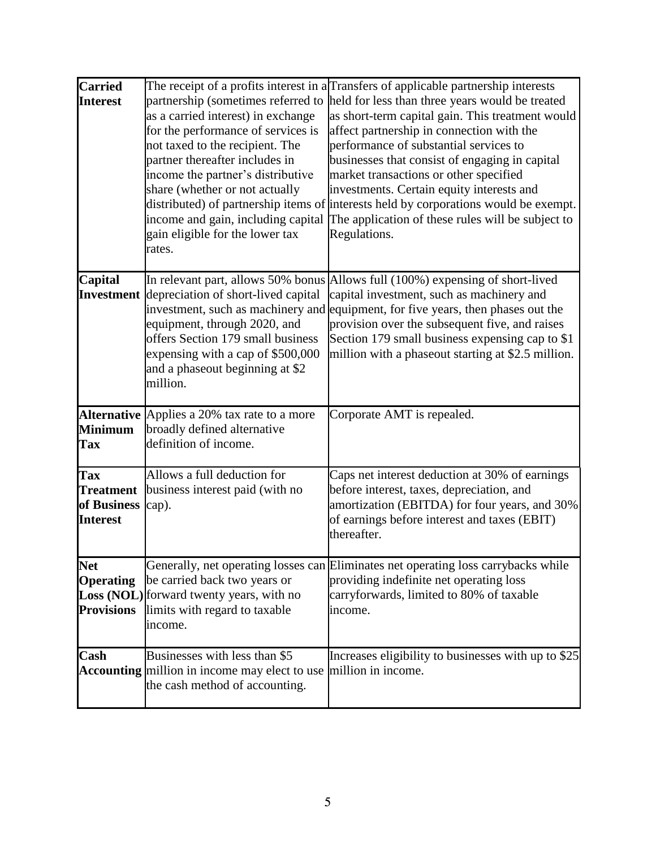| <b>Carried</b><br><b>Interest</b>                                | as a carried interest) in exchange<br>for the performance of services is<br>not taxed to the recipient. The<br>partner thereafter includes in<br>income the partner's distributive<br>share (whether or not actually<br>income and gain, including capital<br>gain eligible for the lower tax<br>rates. | The receipt of a profits interest in aTransfers of applicable partnership interests<br>partnership (sometimes referred to held for less than three years would be treated<br>as short-term capital gain. This treatment would<br>affect partnership in connection with the<br>performance of substantial services to<br>businesses that consist of engaging in capital<br>market transactions or other specified<br>investments. Certain equity interests and<br>distributed) of partnership items of interests held by corporations would be exempt.<br>The application of these rules will be subject to<br>Regulations. |
|------------------------------------------------------------------|---------------------------------------------------------------------------------------------------------------------------------------------------------------------------------------------------------------------------------------------------------------------------------------------------------|----------------------------------------------------------------------------------------------------------------------------------------------------------------------------------------------------------------------------------------------------------------------------------------------------------------------------------------------------------------------------------------------------------------------------------------------------------------------------------------------------------------------------------------------------------------------------------------------------------------------------|
| Capital                                                          | <b>Investment</b> depreciation of short-lived capital<br>equipment, through 2020, and<br>offers Section 179 small business<br>expensing with a cap of \$500,000<br>and a phaseout beginning at \$2<br>million.                                                                                          | In relevant part, allows 50% bonus Allows full (100%) expensing of short-lived<br>capital investment, such as machinery and<br>investment, such as machinery and equipment, for five years, then phases out the<br>provision over the subsequent five, and raises<br>Section 179 small business expensing cap to \$1<br>million with a phaseout starting at \$2.5 million.                                                                                                                                                                                                                                                 |
| <b>Minimum</b><br>Tax                                            | Alternative Applies a 20% tax rate to a more<br>broadly defined alternative<br>definition of income.                                                                                                                                                                                                    | Corporate AMT is repealed.                                                                                                                                                                                                                                                                                                                                                                                                                                                                                                                                                                                                 |
| <b>Tax</b><br><b>Treatment</b><br>of Business<br><b>Interest</b> | Allows a full deduction for<br>business interest paid (with no<br>cap).                                                                                                                                                                                                                                 | Caps net interest deduction at 30% of earnings<br>before interest, taxes, depreciation, and<br>amortization (EBITDA) for four years, and 30%<br>of earnings before interest and taxes (EBIT)<br>thereafter.                                                                                                                                                                                                                                                                                                                                                                                                                |
| <b>Net</b><br><b>Operating</b><br><b>Provisions</b>              | be carried back two years or<br>Loss (NOL) forward twenty years, with no<br>limits with regard to taxable<br>income.                                                                                                                                                                                    | Generally, net operating losses can Eliminates net operating loss carrybacks while<br>providing indefinite net operating loss<br>carryforwards, limited to 80% of taxable<br>income.                                                                                                                                                                                                                                                                                                                                                                                                                                       |
| Cash                                                             | Businesses with less than \$5<br>Accounting million in income may elect to use million in income.<br>the cash method of accounting.                                                                                                                                                                     | Increases eligibility to businesses with up to \$25                                                                                                                                                                                                                                                                                                                                                                                                                                                                                                                                                                        |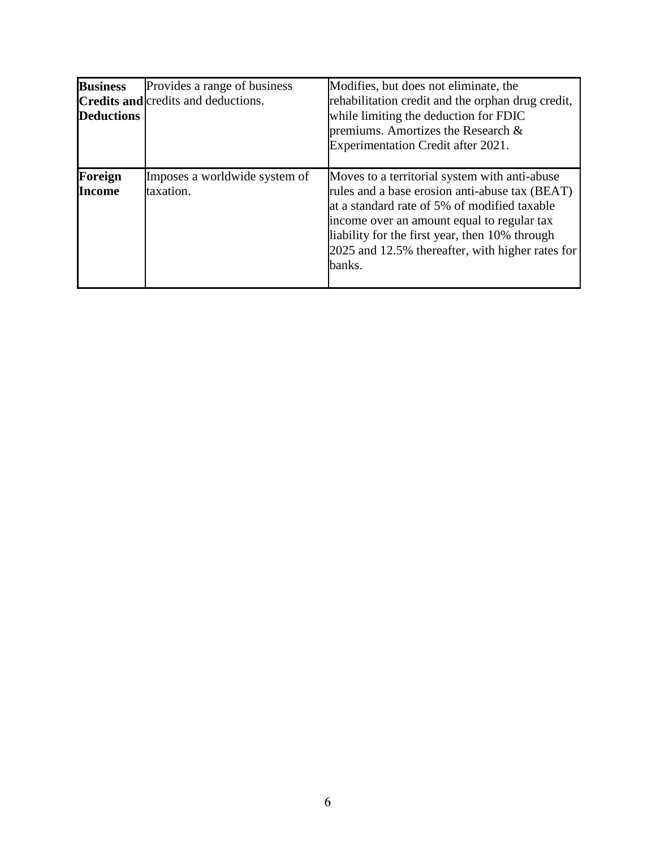| <b>Business</b><br><b>Deductions</b> | Provides a range of business<br><b>Credits and credits and deductions.</b> | Modifies, but does not eliminate, the<br>rehabilitation credit and the orphan drug credit,<br>while limiting the deduction for FDIC<br>premiums. Amortizes the Research &<br>Experimentation Credit after 2021.                                                                                               |
|--------------------------------------|----------------------------------------------------------------------------|---------------------------------------------------------------------------------------------------------------------------------------------------------------------------------------------------------------------------------------------------------------------------------------------------------------|
| Foreign<br><b>Income</b>             | Imposes a worldwide system of<br>taxation.                                 | Moves to a territorial system with anti-abuse<br>rules and a base erosion anti-abuse tax (BEAT)<br>at a standard rate of 5% of modified taxable<br>income over an amount equal to regular tax<br>liability for the first year, then 10% through<br>2025 and 12.5% thereafter, with higher rates for<br>banks. |